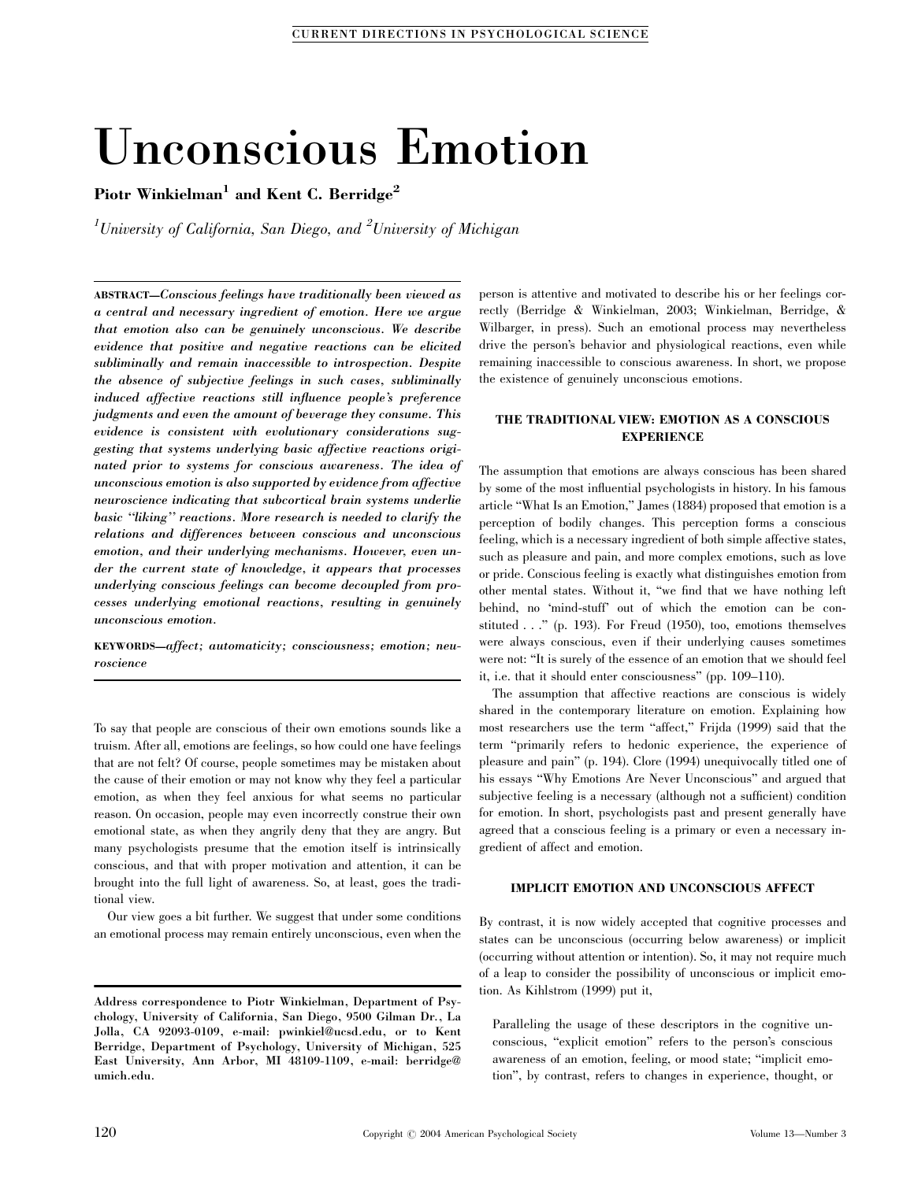# Unconscious Emotion

# Piotr Winkielman<sup>1</sup> and Kent C. Berridge<sup>2</sup>

 $^1$ University of California, San Diego, and  $^2$ University of Michigan

ABSTRACT—Conscious feelings have traditionally been viewed as a central and necessary ingredient of emotion. Here we argue that emotion also can be genuinely unconscious. We describe evidence that positive and negative reactions can be elicited subliminally and remain inaccessible to introspection. Despite the absence of subjective feelings in such cases, subliminally induced affective reactions still influence people's preference judgments and even the amount of beverage they consume. This evidence is consistent with evolutionary considerations suggesting that systems underlying basic affective reactions originated prior to systems for conscious awareness. The idea of unconscious emotion is also supported by evidence from affective neuroscience indicating that subcortical brain systems underlie basic ''liking'' reactions. More research is needed to clarify the relations and differences between conscious and unconscious emotion, and their underlying mechanisms. However, even under the current state of knowledge, it appears that processes underlying conscious feelings can become decoupled from processes underlying emotional reactions, resulting in genuinely unconscious emotion.

KEYWORDS—affect; automaticity; consciousness; emotion; neuroscience

To say that people are conscious of their own emotions sounds like a truism. After all, emotions are feelings, so how could one have feelings that are not felt? Of course, people sometimes may be mistaken about the cause of their emotion or may not know why they feel a particular emotion, as when they feel anxious for what seems no particular reason. On occasion, people may even incorrectly construe their own emotional state, as when they angrily deny that they are angry. But many psychologists presume that the emotion itself is intrinsically conscious, and that with proper motivation and attention, it can be brought into the full light of awareness. So, at least, goes the traditional view.

Our view goes a bit further. We suggest that under some conditions an emotional process may remain entirely unconscious, even when the person is attentive and motivated to describe his or her feelings correctly (Berridge & Winkielman, 2003; Winkielman, Berridge, & Wilbarger, in press). Such an emotional process may nevertheless drive the person's behavior and physiological reactions, even while remaining inaccessible to conscious awareness. In short, we propose the existence of genuinely unconscious emotions.

# THE TRADITIONAL VIEW: EMOTION AS A CONSCIOUS EXPERIENCE

The assumption that emotions are always conscious has been shared by some of the most influential psychologists in history. In his famous article ''What Is an Emotion,'' James (1884) proposed that emotion is a perception of bodily changes. This perception forms a conscious feeling, which is a necessary ingredient of both simple affective states, such as pleasure and pain, and more complex emotions, such as love or pride. Conscious feeling is exactly what distinguishes emotion from other mental states. Without it, ''we find that we have nothing left behind, no 'mind-stuff' out of which the emotion can be constituted . . .'' (p. 193). For Freud (1950), too, emotions themselves were always conscious, even if their underlying causes sometimes were not: ''It is surely of the essence of an emotion that we should feel it, i.e. that it should enter consciousness'' (pp. 109–110).

The assumption that affective reactions are conscious is widely shared in the contemporary literature on emotion. Explaining how most researchers use the term ''affect,'' Frijda (1999) said that the term ''primarily refers to hedonic experience, the experience of pleasure and pain'' (p. 194). Clore (1994) unequivocally titled one of his essays ''Why Emotions Are Never Unconscious'' and argued that subjective feeling is a necessary (although not a sufficient) condition for emotion. In short, psychologists past and present generally have agreed that a conscious feeling is a primary or even a necessary ingredient of affect and emotion.

## IMPLICIT EMOTION AND UNCONSCIOUS AFFECT

By contrast, it is now widely accepted that cognitive processes and states can be unconscious (occurring below awareness) or implicit (occurring without attention or intention). So, it may not require much of a leap to consider the possibility of unconscious or implicit emotion. As Kihlstrom (1999) put it,

Paralleling the usage of these descriptors in the cognitive unconscious, ''explicit emotion'' refers to the person's conscious awareness of an emotion, feeling, or mood state; ''implicit emotion'', by contrast, refers to changes in experience, thought, or

Address correspondence to Piotr Winkielman, Department of Psychology, University of California, San Diego, 9500 Gilman Dr., La Jolla, CA 92093-0109, e-mail: pwinkiel@ucsd.edu, or to Kent Berridge, Department of Psychology, University of Michigan, 525 East University, Ann Arbor, MI 48109-1109, e-mail: berridge@ umich.edu.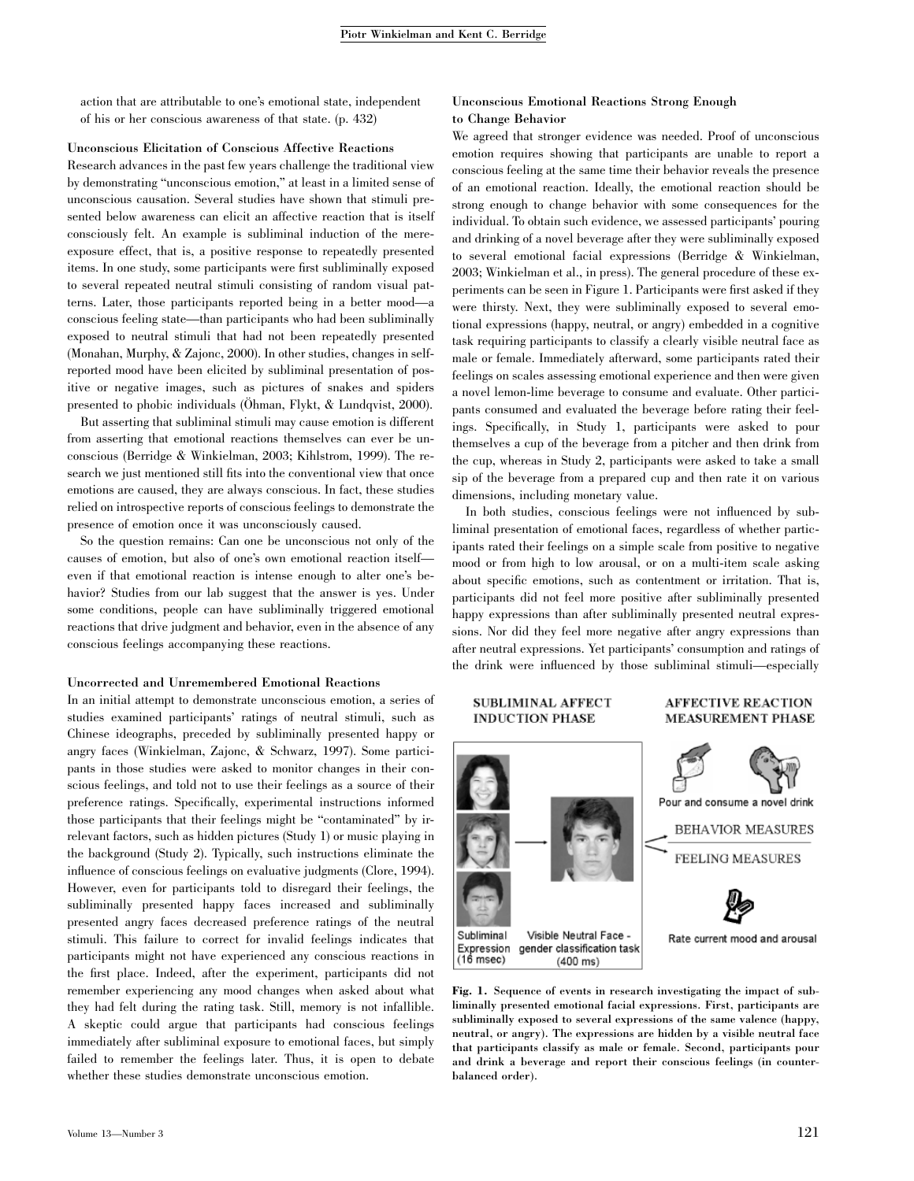action that are attributable to one's emotional state, independent of his or her conscious awareness of that state. (p. 432)

#### Unconscious Elicitation of Conscious Affective Reactions

Research advances in the past few years challenge the traditional view by demonstrating ''unconscious emotion,'' at least in a limited sense of unconscious causation. Several studies have shown that stimuli presented below awareness can elicit an affective reaction that is itself consciously felt. An example is subliminal induction of the mereexposure effect, that is, a positive response to repeatedly presented items. In one study, some participants were first subliminally exposed to several repeated neutral stimuli consisting of random visual patterns. Later, those participants reported being in a better mood—a conscious feeling state—than participants who had been subliminally exposed to neutral stimuli that had not been repeatedly presented (Monahan, Murphy, & Zajonc, 2000). In other studies, changes in selfreported mood have been elicited by subliminal presentation of positive or negative images, such as pictures of snakes and spiders presented to phobic individuals ( $\ddot{\text{O}}$ hman, Flykt, & Lundqvist, 2000).

But asserting that subliminal stimuli may cause emotion is different from asserting that emotional reactions themselves can ever be unconscious (Berridge & Winkielman, 2003; Kihlstrom, 1999). The research we just mentioned still fits into the conventional view that once emotions are caused, they are always conscious. In fact, these studies relied on introspective reports of conscious feelings to demonstrate the presence of emotion once it was unconsciously caused.

So the question remains: Can one be unconscious not only of the causes of emotion, but also of one's own emotional reaction itself even if that emotional reaction is intense enough to alter one's behavior? Studies from our lab suggest that the answer is yes. Under some conditions, people can have subliminally triggered emotional reactions that drive judgment and behavior, even in the absence of any conscious feelings accompanying these reactions.

#### Uncorrected and Unremembered Emotional Reactions

In an initial attempt to demonstrate unconscious emotion, a series of studies examined participants' ratings of neutral stimuli, such as Chinese ideographs, preceded by subliminally presented happy or angry faces (Winkielman, Zajonc, & Schwarz, 1997). Some participants in those studies were asked to monitor changes in their conscious feelings, and told not to use their feelings as a source of their preference ratings. Specifically, experimental instructions informed those participants that their feelings might be ''contaminated'' by irrelevant factors, such as hidden pictures (Study 1) or music playing in the background (Study 2). Typically, such instructions eliminate the influence of conscious feelings on evaluative judgments (Clore, 1994). However, even for participants told to disregard their feelings, the subliminally presented happy faces increased and subliminally presented angry faces decreased preference ratings of the neutral stimuli. This failure to correct for invalid feelings indicates that participants might not have experienced any conscious reactions in the first place. Indeed, after the experiment, participants did not remember experiencing any mood changes when asked about what they had felt during the rating task. Still, memory is not infallible. A skeptic could argue that participants had conscious feelings immediately after subliminal exposure to emotional faces, but simply failed to remember the feelings later. Thus, it is open to debate whether these studies demonstrate unconscious emotion.

## Unconscious Emotional Reactions Strong Enough to Change Behavior

We agreed that stronger evidence was needed. Proof of unconscious emotion requires showing that participants are unable to report a conscious feeling at the same time their behavior reveals the presence of an emotional reaction. Ideally, the emotional reaction should be strong enough to change behavior with some consequences for the individual. To obtain such evidence, we assessed participants' pouring and drinking of a novel beverage after they were subliminally exposed to several emotional facial expressions (Berridge & Winkielman, 2003; Winkielman et al., in press). The general procedure of these experiments can be seen in Figure 1. Participants were first asked if they were thirsty. Next, they were subliminally exposed to several emotional expressions (happy, neutral, or angry) embedded in a cognitive task requiring participants to classify a clearly visible neutral face as male or female. Immediately afterward, some participants rated their feelings on scales assessing emotional experience and then were given a novel lemon-lime beverage to consume and evaluate. Other participants consumed and evaluated the beverage before rating their feelings. Specifically, in Study 1, participants were asked to pour themselves a cup of the beverage from a pitcher and then drink from the cup, whereas in Study 2, participants were asked to take a small sip of the beverage from a prepared cup and then rate it on various dimensions, including monetary value.

In both studies, conscious feelings were not influenced by subliminal presentation of emotional faces, regardless of whether participants rated their feelings on a simple scale from positive to negative mood or from high to low arousal, or on a multi-item scale asking about specific emotions, such as contentment or irritation. That is, participants did not feel more positive after subliminally presented happy expressions than after subliminally presented neutral expressions. Nor did they feel more negative after angry expressions than after neutral expressions. Yet participants' consumption and ratings of the drink were influenced by those subliminal stimuli—especially

#### SUBLIMINAL AFFECT **INDUCTION PHASE**

#### **AFFECTIVE REACTION MEASUREMENT PHASE**



Fig. 1. Sequence of events in research investigating the impact of subliminally presented emotional facial expressions. First, participants are subliminally exposed to several expressions of the same valence (happy, neutral, or angry). The expressions are hidden by a visible neutral face that participants classify as male or female. Second, participants pour and drink a beverage and report their conscious feelings (in counterbalanced order).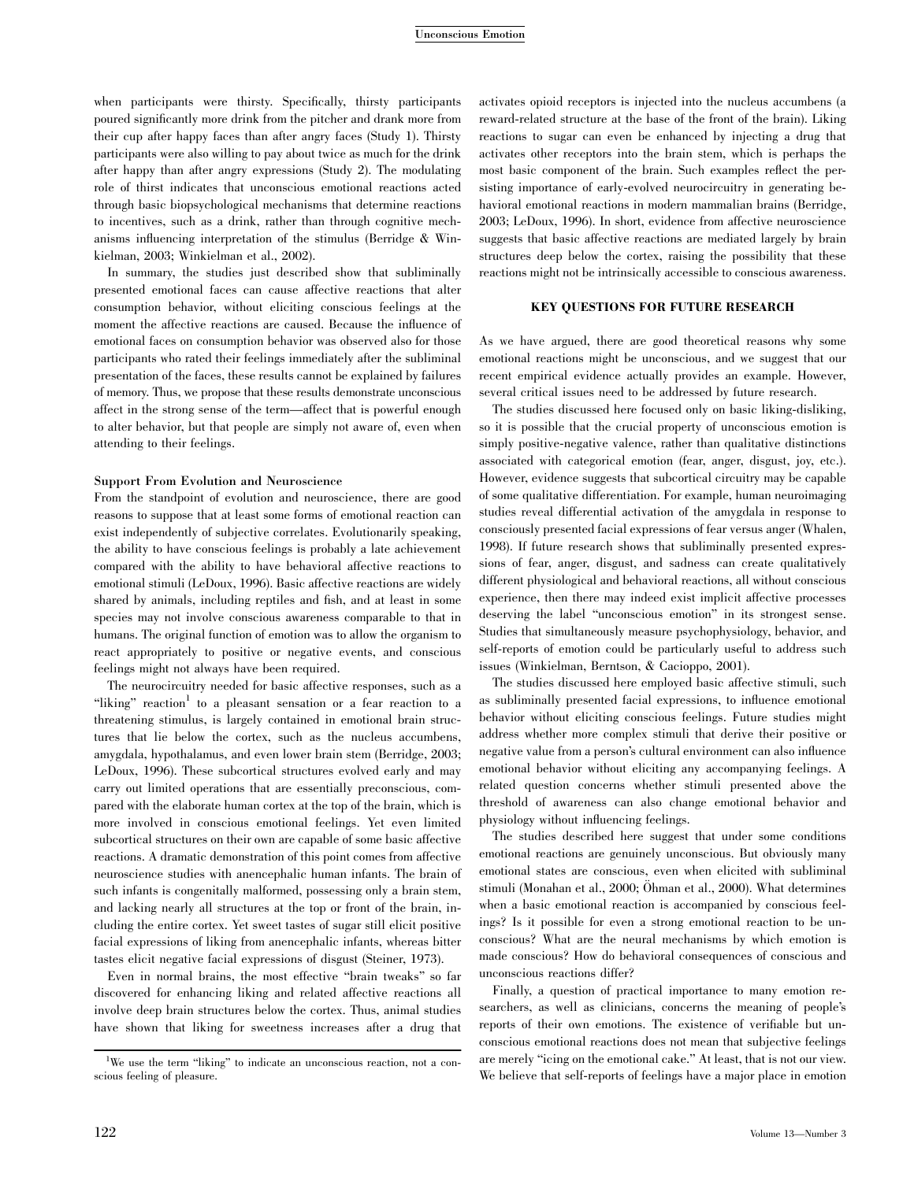when participants were thirsty. Specifically, thirsty participants poured significantly more drink from the pitcher and drank more from their cup after happy faces than after angry faces (Study 1). Thirsty participants were also willing to pay about twice as much for the drink after happy than after angry expressions (Study 2). The modulating role of thirst indicates that unconscious emotional reactions acted through basic biopsychological mechanisms that determine reactions to incentives, such as a drink, rather than through cognitive mechanisms influencing interpretation of the stimulus (Berridge & Winkielman, 2003; Winkielman et al., 2002).

In summary, the studies just described show that subliminally presented emotional faces can cause affective reactions that alter consumption behavior, without eliciting conscious feelings at the moment the affective reactions are caused. Because the influence of emotional faces on consumption behavior was observed also for those participants who rated their feelings immediately after the subliminal presentation of the faces, these results cannot be explained by failures of memory. Thus, we propose that these results demonstrate unconscious affect in the strong sense of the term—affect that is powerful enough to alter behavior, but that people are simply not aware of, even when attending to their feelings.

#### Support From Evolution and Neuroscience

From the standpoint of evolution and neuroscience, there are good reasons to suppose that at least some forms of emotional reaction can exist independently of subjective correlates. Evolutionarily speaking, the ability to have conscious feelings is probably a late achievement compared with the ability to have behavioral affective reactions to emotional stimuli (LeDoux, 1996). Basic affective reactions are widely shared by animals, including reptiles and fish, and at least in some species may not involve conscious awareness comparable to that in humans. The original function of emotion was to allow the organism to react appropriately to positive or negative events, and conscious feelings might not always have been required.

The neurocircuitry needed for basic affective responses, such as a "liking" reaction<sup>1</sup> to a pleasant sensation or a fear reaction to a threatening stimulus, is largely contained in emotional brain structures that lie below the cortex, such as the nucleus accumbens, amygdala, hypothalamus, and even lower brain stem (Berridge, 2003; LeDoux, 1996). These subcortical structures evolved early and may carry out limited operations that are essentially preconscious, compared with the elaborate human cortex at the top of the brain, which is more involved in conscious emotional feelings. Yet even limited subcortical structures on their own are capable of some basic affective reactions. A dramatic demonstration of this point comes from affective neuroscience studies with anencephalic human infants. The brain of such infants is congenitally malformed, possessing only a brain stem, and lacking nearly all structures at the top or front of the brain, including the entire cortex. Yet sweet tastes of sugar still elicit positive facial expressions of liking from anencephalic infants, whereas bitter tastes elicit negative facial expressions of disgust (Steiner, 1973).

Even in normal brains, the most effective ''brain tweaks'' so far discovered for enhancing liking and related affective reactions all involve deep brain structures below the cortex. Thus, animal studies have shown that liking for sweetness increases after a drug that activates opioid receptors is injected into the nucleus accumbens (a reward-related structure at the base of the front of the brain). Liking reactions to sugar can even be enhanced by injecting a drug that activates other receptors into the brain stem, which is perhaps the most basic component of the brain. Such examples reflect the persisting importance of early-evolved neurocircuitry in generating behavioral emotional reactions in modern mammalian brains (Berridge, 2003; LeDoux, 1996). In short, evidence from affective neuroscience suggests that basic affective reactions are mediated largely by brain structures deep below the cortex, raising the possibility that these reactions might not be intrinsically accessible to conscious awareness.

#### KEY QUESTIONS FOR FUTURE RESEARCH

As we have argued, there are good theoretical reasons why some emotional reactions might be unconscious, and we suggest that our recent empirical evidence actually provides an example. However, several critical issues need to be addressed by future research.

The studies discussed here focused only on basic liking-disliking, so it is possible that the crucial property of unconscious emotion is simply positive-negative valence, rather than qualitative distinctions associated with categorical emotion (fear, anger, disgust, joy, etc.). However, evidence suggests that subcortical circuitry may be capable of some qualitative differentiation. For example, human neuroimaging studies reveal differential activation of the amygdala in response to consciously presented facial expressions of fear versus anger (Whalen, 1998). If future research shows that subliminally presented expressions of fear, anger, disgust, and sadness can create qualitatively different physiological and behavioral reactions, all without conscious experience, then there may indeed exist implicit affective processes deserving the label ''unconscious emotion'' in its strongest sense. Studies that simultaneously measure psychophysiology, behavior, and self-reports of emotion could be particularly useful to address such issues (Winkielman, Berntson, & Cacioppo, 2001).

The studies discussed here employed basic affective stimuli, such as subliminally presented facial expressions, to influence emotional behavior without eliciting conscious feelings. Future studies might address whether more complex stimuli that derive their positive or negative value from a person's cultural environment can also influence emotional behavior without eliciting any accompanying feelings. A related question concerns whether stimuli presented above the threshold of awareness can also change emotional behavior and physiology without influencing feelings.

The studies described here suggest that under some conditions emotional reactions are genuinely unconscious. But obviously many emotional states are conscious, even when elicited with subliminal stimuli (Monahan et al., 2000; Öhman et al., 2000). What determines when a basic emotional reaction is accompanied by conscious feelings? Is it possible for even a strong emotional reaction to be unconscious? What are the neural mechanisms by which emotion is made conscious? How do behavioral consequences of conscious and unconscious reactions differ?

Finally, a question of practical importance to many emotion researchers, as well as clinicians, concerns the meaning of people's reports of their own emotions. The existence of verifiable but unconscious emotional reactions does not mean that subjective feelings are merely ''icing on the emotional cake.'' At least, that is not our view. We believe that self-reports of feelings have a major place in emotion

<sup>&</sup>lt;sup>1</sup>We use the term "liking" to indicate an unconscious reaction, not a conscious feeling of pleasure.